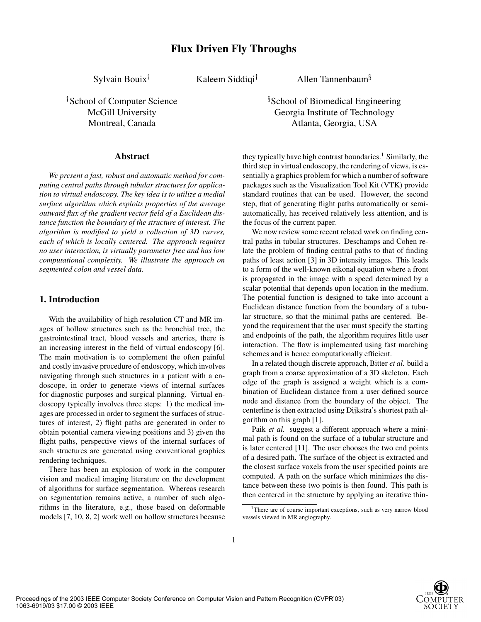**Flux Driven Fly Throughs**

Sylvain Bouix

Kaleem Siddiqi

<sup>†</sup>School of Computer Science **School** School 35 School and 35 School 35 School 35 School 35 School 35 School 35 School 35 School 35 School 35 School 35 School 35 School 35 School 35 School 35 School 35 School 35 School 35

### **Abstract**

*We present a fast, robust and automatic method for computing central paths through tubular structures for application to virtual endoscopy. The key idea is to utilize a medial surface algorithm which exploits properties of the average outward flux of the gradient vector field of a Euclidean distance function the boundary of the structure of interest. The algorithm is modified to yield a collection of 3D curves, each of which is locally centered. The approach requires no user interaction, is virtually parameter free and has low computational complexity. We illustrate the approach on segmented colon and vessel data.*

## **1. Introduction**

With the availability of high resolution CT and MR images of hollow structures such as the bronchial tree, the gastrointestinal tract, blood vessels and arteries, there is an increasing interest in the field of virtual endoscopy [6]. The main motivation is to complement the often painful and costly invasive procedure of endoscopy, which involves navigating through such structures in a patient with a endoscope, in order to generate views of internal surfaces for diagnostic purposes and surgical planning. Virtual endoscopy typically involves three steps: 1) the medical images are processed in order to segment the surfaces of structures of interest, 2) flight paths are generated in order to obtain potential camera viewing positions and 3) given the flight paths, perspective views of the internal surfaces of such structures are generated using conventional graphics rendering techniques.

There has been an explosion of work in the computer vision and medical imaging literature on the development of algorithms for surface segmentation. Whereas research on segmentation remains active, a number of such algorithms in the literature, e.g., those based on deformable models [7, 10, 8, 2] work well on hollow structures because

Allen Tannenbaum

School of Biomedical Engineering McGill University Georgia Institute of Technology Montreal, Canada Atlanta, Georgia, USA

> they typically have high contrast boundaries.<sup>1</sup> Similarly, the third step in virtual endoscopy, the rendering of views, is essentially a graphics problem for which a number of software packages such as the Visualization Tool Kit (VTK) provide standard routines that can be used. However, the second step, that of generating flight paths automatically or semiautomatically, has received relatively less attention, and is the focus of the current paper.

> We now review some recent related work on finding central paths in tubular structures. Deschamps and Cohen relate the problem of finding central paths to that of finding paths of least action [3] in 3D intensity images. This leads to a form of the well-known eikonal equation where a front is propagated in the image with a speed determined by a scalar potential that depends upon location in the medium. The potential function is designed to take into account a Euclidean distance function from the boundary of a tubular structure, so that the minimal paths are centered. Beyond the requirement that the user must specify the starting and endpoints of the path, the algorithm requires little user interaction. The flow is implemented using fast marching schemes and is hence computationally efficient.

> In a related though discrete approach, Bitter *et al.* build a graph from a coarse approximation of a 3D skeleton. Each edge of the graph is assigned a weight which is a combination of Euclidean distance from a user defined source node and distance from the boundary of the object. The centerline is then extracted using Dijkstra's shortest path algorithm on this graph [1].

> Paik *et al.* suggest a different approach where a minimal path is found on the surface of a tubular structure and is later centered [11]. The user chooses the two end points of a desired path. The surface of the object is extracted and the closest surface voxels from the user specified points are computed. A path on the surface which minimizes the distance between these two points is then found. This path is then centered in the structure by applying an iterative thin-



<sup>&</sup>lt;sup>1</sup>There are of course important exceptions, such as very narrow blood vessels viewed in MR angiography.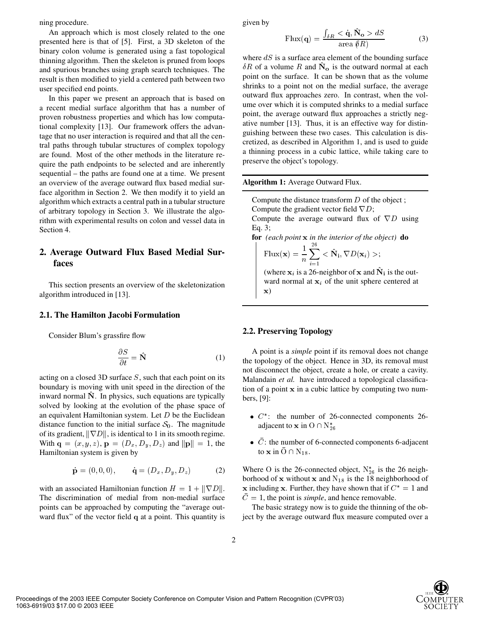ning procedure.

An approach which is most closely related to the one presented here is that of [5]. First, a 3D skeleton of the binary colon volume is generated using a fast topological thinning algorithm. Then the skeleton is pruned from loops and spurious branches using graph search techniques. The result is then modified to yield a centered path between two user specified end points.

In this paper we present an approach that is based on a recent medial surface algorithm that has a number of proven robustness properties and which has low computational complexity [13]. Our framework offers the advantage that no user interaction is required and that all the central paths through tubular structures of complex topology are found. Most of the other methods in the literature require the path endpoints to be selected and are inherently sequential – the paths are found one at a time. We present an overview of the average outward flux based medial surface algorithm in Section 2. We then modify it to yield an algorithm which extracts a central path in a tubular structure of arbitrary topology in Section 3. We illustrate the algorithm with experimental results on colon and vessel data in Section 4.

## **2. Average Outward Flux Based Medial Surfaces**

This section presents an overview of the skeletonization algorithm introduced in [13].

 $\sim$   $\sim$ 

#### **2.1. The Hamilton Jacobi Formulation**

Consider Blum's grassfire flow

$$
\frac{\partial S}{\partial t} = \hat{\mathbf{N}} \tag{1}
$$

acting on a closed 3D surface  $S$ , such that each point on its boundary is moving with unit speed in the direction of the inward normal  $\hat{N}$ . In physics, such equations are typically solved by looking at the evolution of the phase space of an equivalent Hamiltonian system. Let  $D$  be the Euclidean distance function to the initial surface  $S_0$ . The magnitude of its gradient,  $\|\nabla D\|$ , is identical to 1 in its smooth regime. With  $\mathbf{q} = (x, y, z), \, \mathbf{p} = (D_x, D_y, D_z)$  and  $\|\mathbf{p}\| = 1$ , the Hamiltonian system is given by

$$
\dot{\mathbf{p}} = (0, 0, 0), \quad \dot{\mathbf{q}} = (D_x, D_y, D_z)
$$
 (2)

with an associated Hamiltonian function  $H = 1 + ||\nabla D||.$ The discrimination of medial from non-medial surface points can be approached by computing the "average outward flux" of the vector field  $q$  at a point. This quantity is

given by

$$
\text{Flux}(\mathbf{q}) = \frac{\int_{\delta R} \langle \dot{\mathbf{q}}, \dot{\mathbf{N}}_{\mathbf{o}} \rangle \, dS}{\text{area } \delta R} \tag{3}
$$

where  $dS$  is a surface area element of the bounding surface  $\delta R$  of a volume R and  $\dot{N}_{o}$  is the outward normal at each point on the surface. It can be shown that as the volume shrinks to a point not on the medial surface, the average outward flux approaches zero. In contrast, when the volume over which it is computed shrinks to a medial surface point, the average outward flux approaches a strictly negative number [13]. Thus, it is an effective way for distinguishing between these two cases. This calculation is discretized, as described in Algorithm 1, and is used to guide a thinning process in a cubic lattice, while taking care to preserve the object's topology.

#### **Algorithm 1:** Average Outward Flux.

Compute the distance transform  $D$  of the object; Compute the gradient vector field  $\nabla D$ ; Compute the average outward flux of  $\nabla D$  using Eq. 3;

**for** *(each point in the interior of the object)* **do**  $1^{26}$ 

$$
\mathrm{Flux}(\mathbf{x}) = \frac{1}{n} \sum_{i=1} < \hat{\mathbf{N}}_i, \nabla D(\mathbf{x}_i) >;
$$

(where  $x_i$  is a 26-neighbor of x and  $N_i$  is the outward normal at  $x_i$  of the unit sphere centered at  $\mathbf{x}$ 

#### **2.2. Preserving Topology**

A point is a *simple* point if its removal does not change the topology of the object. Hence in 3D, its removal must not disconnect the object, create a hole, or create a cavity. Malandain *et al.* have introduced a topological classification of a point  $x$  in a cubic lattice by computing two numbers, [9]:

- $\bullet$   $C^*$ : the number of 26-connected components 26adjacent to  ${\bf x}$  in  ${\rm O}\cap \text{N}^*_{26}$
- C: the number of 6-connected components 6-adjacent to **x** in  $O \cap N_{18}$ .

Where O is the 26-connected object,  $N_{26}^*$  is the 26 neighborhood of  $x$  without  $x$  and  $N_{18}$  is the 18 neighborhood of x including x. Further, they have shown that if  $C^* = 1$  and  $\overline{C} = 1$ , the point is *simple*, and hence removable.

The basic strategy now is to guide the thinning of the object by the average outward flux measure computed over a



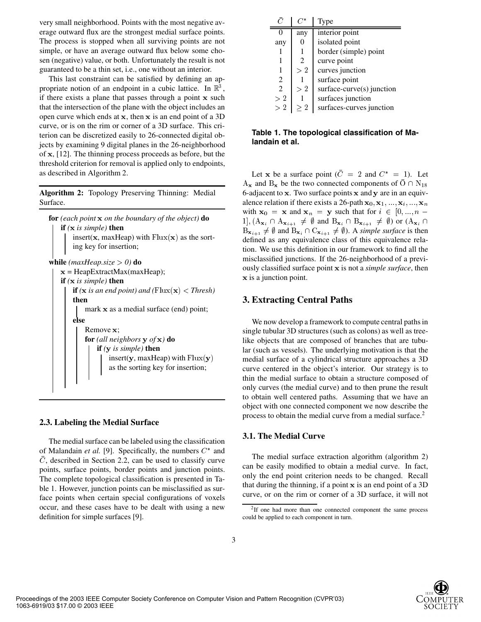very small neighborhood. Points with the most negative average outward flux are the strongest medial surface points. The process is stopped when all surviving points are not simple, or have an average outward flux below some chosen (negative) value, or both. Unfortunately the result is not guaranteed to be a thin set, i.e., one without an interior.

This last constraint can be satisfied by defining an appropriate notion of an endpoint in a cubic lattice. In  $\mathbb{R}^3$ , if there exists a plane that passes through a point  $x$  such that the intersection of the plane with the object includes an open curve which ends at  $x$ , then  $x$  is an end point of a 3D curve, or is on the rim or corner of a 3D surface. This criterion can be discretized easily to 26-connected digital objects by examining 9 digital planes in the 26-neighborhood of  $x$ , [12]. The thinning process proceeds as before, but the threshold criterion for removal is applied only to endpoints, as described in Algorithm 2.

**Algorithm 2:** Topology Preserving Thinning: Medial Surface.

```
for (each point  on the boundary of the object) do
    if ( is simple) then
        insert(x, maxHeap) with Flux(x) as the sort-
        ing key for insertion;
while (maxHeap.size > 0) do
   x = \text{HeapExtractMax(maxHeap)};if ( is simple) then
        if (x is an end point) and (\text{Flux}(\mathbf{x}) < \text{Thresh})
        then
            mark x as a medial surface (end) point;
        else
            Remove x:
            for (all neighbors \bf{y} of \bf{x}) do
                if ( is simple) then
                    insert(y, maxHeap) with Flux(y)as the sorting key for insertion;
```
### **2.3. Labeling the Medial Surface**

The medial surface can be labeled using the classification of Malandain *et al.* [9]. Specifically, the numbers  $C^*$  and C, described in Section 2.2, can be used to classify curve points, surface points, border points and junction points. The complete topological classification is presented in Table 1. However, junction points can be misclassified as surface points when certain special configurations of voxels occur, and these cases have to be dealt with using a new definition for simple surfaces [9].

|                             |                | Type                      |
|-----------------------------|----------------|---------------------------|
|                             | any            | interior point            |
| any                         |                | isolated point            |
|                             |                | border (simple) point     |
|                             | $\mathfrak{D}$ | curve point               |
|                             | >2             | curves junction           |
| 2                           |                | surface point             |
| $\mathcal{D}_{\mathcal{L}}$ | >2             | surface-curve(s) junction |
| >2                          |                | surfaces junction         |
| >2                          | >2             | surfaces-curves junction  |

**Table 1. The topological classification of Malandain et al.**

Let x be a surface point  $(C = 2 \text{ and } C^* = 1)$ . Let  $A_x$  and  $B_x$  be the two connected components of  $O \cap N_{18}$ 6-adjacent to  $x$ . Two surface points  $x$  and  $y$  are in an equivalence relation if there exists a 26-path  $x_0, x_1, ..., x_i, ..., x_n$ with  $x_0 = x$  and  $x_n = y$  such that for  $i \in [0, ..., n$  $a_1$ ,  $(A_{\mathbf{x}_i} \cap A_{\mathbf{x}_{i+1}} \neq \emptyset$  and  $B_{\mathbf{x}_i} \cap B_{\mathbf{x}_{i+1}} \neq \emptyset$  or  $(A_{\mathbf{x}_i} \cap A_{\mathbf{x}_i})$  $B_{\mathbf{x}_{i+1}} \neq \emptyset$  and  $B_{\mathbf{x}_i} \cap C_{\mathbf{x}_{i+1}} \neq \emptyset$ ). A *simple surface* is then defined as any equivalence class of this equivalence relation. We use this definition in our framework to find all the misclassified junctions. If the 26-neighborhood of a previously classified surface point is not a *simple surface*, then  $\bf{x}$  is a junction point.

### **3. Extracting Central Paths**

We now develop a framework to compute central paths in single tubular 3D structures (such as colons) as well as treelike objects that are composed of branches that are tubular (such as vessels). The underlying motivation is that the medial surface of a cylindrical structure approaches a 3D curve centered in the object's interior. Our strategy is to thin the medial surface to obtain a structure composed of only curves (the medial curve) and to then prune the result to obtain well centered paths. Assuming that we have an object with one connected component we now describe the process to obtain the medial curve from a medial surface.<sup>2</sup>

### **3.1. The Medial Curve**

The medial surface extraction algorithm (algorithm 2) can be easily modified to obtain a medial curve. In fact, only the end point criterion needs to be changed. Recall that during the thinning, if a point  $x$  is an end point of a 3D curve, or on the rim or corner of a 3D surface, it will not



<sup>&</sup>lt;sup>2</sup>If one had more than one connected component the same process could be applied to each component in turn.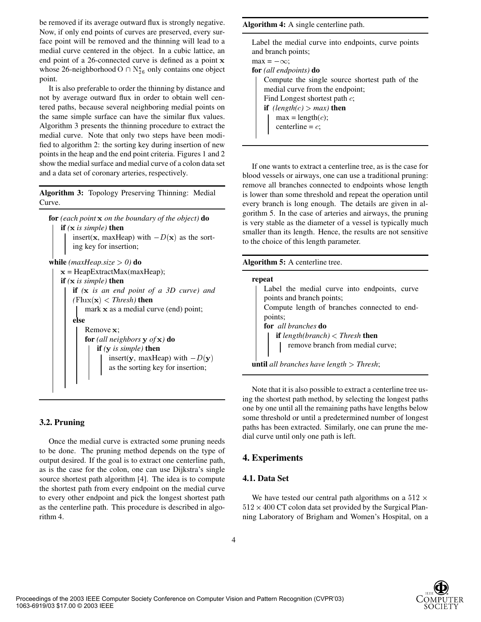be removed if its average outward flux is strongly negative. Now, if only end points of curves are preserved, every surface point will be removed and the thinning will lead to a medial curve centered in the object. In a cubic lattice, an end point of a 26-connected curve is defined as a point x whose 26-neighborhood  $O \cap N_{26}^*$  only contains one object point.

It is also preferable to order the thinning by distance and not by average outward flux in order to obtain well centered paths, because several neighboring medial points on the same simple surface can have the similar flux values. Algorithm 3 presents the thinning procedure to extract the medial curve. Note that only two steps have been modified to algorithm 2: the sorting key during insertion of new points in the heap and the end point criteria. Figures 1 and 2 show the medial surface and medial curve of a colon data set and a data set of coronary arteries, respectively.

**Algorithm 3:** Topology Preserving Thinning: Medial Curve.



### **3.2. Pruning**

Once the medial curve is extracted some pruning needs to be done. The pruning method depends on the type of output desired. If the goal is to extract one centerline path, as is the case for the colon, one can use Dijkstra's single source shortest path algorithm [4]. The idea is to compute the shortest path from every endpoint on the medial curve to every other endpoint and pick the longest shortest path as the centerline path. This procedure is described in algorithm 4.

**Algorithm 4:** A single centerline path.

| Label the medial curve into endpoints, curve points<br>and branch points;                                                                                                                                    |  |  |  |
|--------------------------------------------------------------------------------------------------------------------------------------------------------------------------------------------------------------|--|--|--|
| $\max = -\infty$ ;                                                                                                                                                                                           |  |  |  |
| <b>for</b> (all endpoints) <b>do</b>                                                                                                                                                                         |  |  |  |
| Compute the single source shortest path of the<br>medial curve from the endpoint;<br>Find Longest shortest path $c$ ;<br><b>if</b> (length(c) > max) <b>then</b><br>$max = length(c);$<br>centerline = $c$ ; |  |  |  |

If one wants to extract a centerline tree, as is the case for blood vessels or airways, one can use a traditional pruning: remove all branches connected to endpoints whose length is lower than some threshold and repeat the operation until every branch is long enough. The details are given in algorithm 5. In the case of arteries and airways, the pruning is very stable as the diameter of a vessel is typically much smaller than its length. Hence, the results are not sensitive to the choice of this length parameter.

### **Algorithm 5:** A centerline tree.

| repeat                                                |  |  |
|-------------------------------------------------------|--|--|
| Label the medial curve into endpoints, curve          |  |  |
| points and branch points;                             |  |  |
| Compute length of branches connected to end-          |  |  |
| points;                                               |  |  |
| for all branches do                                   |  |  |
| <b>if</b> length(branch) $\langle$ Thresh <b>then</b> |  |  |
| remove branch from medial curve;                      |  |  |
|                                                       |  |  |
| <b>until</b> all branches have length $>$ Thresh;     |  |  |

Note that it is also possible to extract a centerline tree using the shortest path method, by selecting the longest paths one by one until all the remaining paths have lengths below some threshold or until a predetermined number of longest paths has been extracted. Similarly, one can prune the medial curve until only one path is left.

# **4. Experiments**

### **4.1. Data Set**

We have tested our central path algorithms on a  $512 \times$  $512 \times 400$  CT colon data set provided by the Surgical Planning Laboratory of Brigham and Women's Hospital, on a

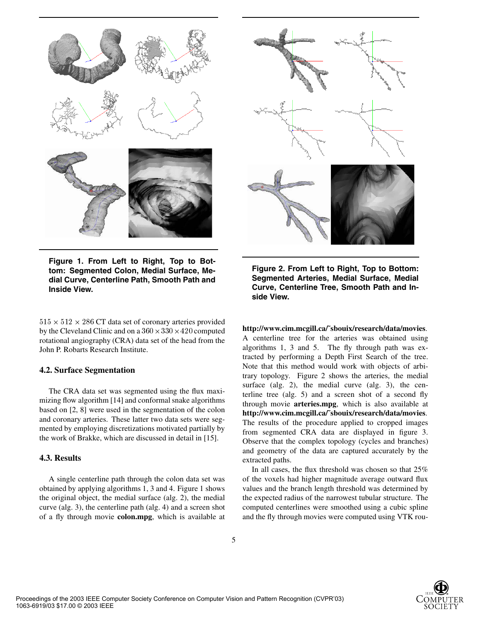

**Figure 1. From Left to Right, Top to Bottom: Segmented Colon, Medial Surface, Medial Curve, Centerline Path, Smooth Path and Inside View.**

 $515 \times 512 \times 286$  CT data set of coronary arteries provided by the Cleveland Clinic and on a  $360 \times 330 \times 420$  computed rotational angiography (CRA) data set of the head from the John P. Robarts Research Institute.

#### **4.2. Surface Segmentation**

The CRA data set was segmented using the flux maximizing flow algorithm [14] and conformal snake algorithms based on [2, 8] were used in the segmentation of the colon and coronary arteries. These latter two data sets were segmented by employing discretizations motivated partially by the work of Brakke, which are discussed in detail in [15].

### **4.3. Results**

A single centerline path through the colon data set was obtained by applying algorithms 1, 3 and 4. Figure 1 shows the original object, the medial surface (alg. 2), the medial curve (alg. 3), the centerline path (alg. 4) and a screen shot of a fly through movie **colon.mpg**, which is available at



**Figure 2. From Left to Right, Top to Bottom: Segmented Arteries, Medial Surface, Medial Curve, Centerline Tree, Smooth Path and Inside View.**

**http://www.cim.mcgill.ca/˜sbouix/research/data/movies**. A centerline tree for the arteries was obtained using algorithms 1, 3 and 5. The fly through path was extracted by performing a Depth First Search of the tree. Note that this method would work with objects of arbitrary topology. Figure 2 shows the arteries, the medial surface (alg. 2), the medial curve (alg. 3), the centerline tree (alg. 5) and a screen shot of a second fly through movie **arteries.mpg**, which is also available at **http://www.cim.mcgill.ca/˜sbouix/research/data/movies**. The results of the procedure applied to cropped images from segmented CRA data are displayed in figure 3. Observe that the complex topology (cycles and branches) and geometry of the data are captured accurately by the extracted paths.

In all cases, the flux threshold was chosen so that 25% of the voxels had higher magnitude average outward flux values and the branch length threshold was determined by the expected radius of the narrowest tubular structure. The computed centerlines were smoothed using a cubic spline and the fly through movies were computed using VTK rou-